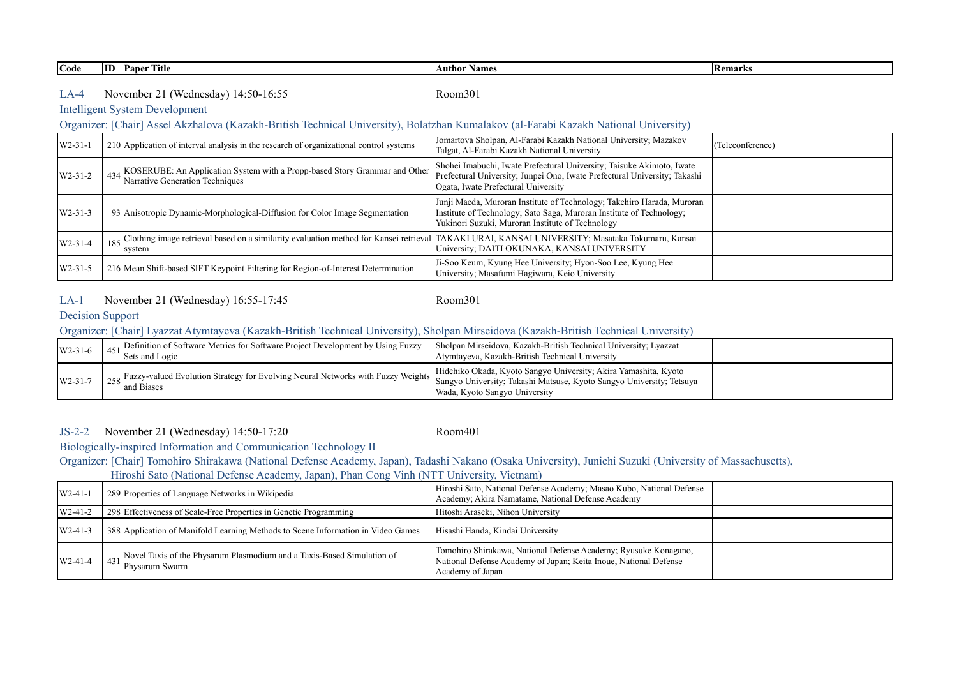**Code ID Paper Title Author Names Remarks**

#### LA-4 Room301 November 21 (Wednesday) 14:50-16:55

## Intelligent System Development

#### Organizer: [Chair] Assel Akzhalova (Kazakh-British Technical University), Bolatzhan Kumalakov (al-Farabi Kazakh National University)

| $W2-31-1$ | 210 Application of interval analysis in the research of organizational control systems                            | Jomartova Sholpan, Al-Farabi Kazakh National University; Mazakov<br>Talgat, Al-Farabi Kazakh National University                                                                                    | (Teleconference) |
|-----------|-------------------------------------------------------------------------------------------------------------------|-----------------------------------------------------------------------------------------------------------------------------------------------------------------------------------------------------|------------------|
| $W2-31-2$ | 434 KOSERUBE: An Application System with a Propp-based Story Grammar and Other<br>Narrative Generation Techniques | Shohei Imabuchi, Iwate Prefectural University; Taisuke Akimoto, Iwate<br>Prefectural University; Junpei Ono, Iwate Prefectural University; Takashi<br>Ogata, Iwate Prefectural University           |                  |
| $W2-31-3$ | 93 Anisotropic Dynamic-Morphological-Diffusion for Color Image Segmentation                                       | Junji Maeda, Muroran Institute of Technology; Takehiro Harada, Muroran<br>Institute of Technology; Sato Saga, Muroran Institute of Technology;<br>Yukinori Suzuki, Muroran Institute of Technology  |                  |
| $W2-31-4$ | system                                                                                                            | 185 Clothing image retrieval based on a similarity evaluation method for Kansei retrieval TAKAKI URAI, KANSAI UNIVERSITY; Masataka Tokumaru, Kansai<br>University; DAITI OKUNAKA, KANSAI UNIVERSITY |                  |
| $W2-31-5$ | 216 Mean Shift-based SIFT Keypoint Filtering for Region-of-Interest Determination                                 | Ji-Soo Keum, Kyung Hee University; Hyon-Soo Lee, Kyung Hee<br>University; Masafumi Hagiwara, Keio University                                                                                        |                  |

# LA-1 Room301 November 21 (Wednesday) 16:55-17:45

# Decision Support

#### Organizer: [Chair] Lyazzat Atymtayeva (Kazakh-British Technical University), Sholpan Mirseidova (Kazakh-British Technical University)

| $W2-31-6$     | $\Lambda_{\text{C1}}$ Definition of Software Metrics for Software Project Development by Using Fuzzy<br>$\frac{451}{s}$ Sets and Logic                                   | Sholpan Mirseidova, Kazakh-British Technical University; Lyazzat<br>Atymtayeva, Kazakh-British Technical University |  |
|---------------|--------------------------------------------------------------------------------------------------------------------------------------------------------------------------|---------------------------------------------------------------------------------------------------------------------|--|
| $W2 - 31 - 7$ | 1 258 Fuzzy-valued Evolution Strategy for Evolving Neural Networks with Fuzzy Weights Sangyo University; Takashi Matsuse, Kyoto Sangyo University; Tetsuya<br>and Biases | Hidehiko Okada, Kyoto Sangyo University; Akira Yamashita, Kyoto<br>Wada, Kyoto Sangyo University                    |  |

#### JS-2-2 Room401 November 21 (Wednesday) 14:50-17:20

#### Biologically-inspired Information and Communication Technology II

Organizer: [Chair] Tomohiro Shirakawa (National Defense Academy, Japan), Tadashi Nakano (Osaka University), Junichi Suzuki (University of Massachusetts),

Hiroshi Sato (National Defense Academy, Japan), Phan Cong Vinh (NTT University, Vietnam)

| $W2-41-1$ | 289 Properties of Language Networks in Wikipedia                                                  | Hiroshi Sato, National Defense Academy; Masao Kubo, National Defense<br>Academy; Akira Namatame, National Defense Academy                               |
|-----------|---------------------------------------------------------------------------------------------------|---------------------------------------------------------------------------------------------------------------------------------------------------------|
| $W2-41-2$ | 298 Effectiveness of Scale-Free Properties in Genetic Programming                                 | Hitoshi Araseki, Nihon University                                                                                                                       |
| $W2-41-3$ | 388 Application of Manifold Learning Methods to Scene Information in Video Games                  | Hisashi Handa, Kindai University                                                                                                                        |
| $W2-41-4$ | $_{421}$ Novel Taxis of the Physarum Plasmodium and a Taxis-Based Simulation of<br>Physarum Swarm | Tomohiro Shirakawa, National Defense Academy; Ryusuke Konagano,<br>National Defense Academy of Japan; Keita Inoue, National Defense<br>Academy of Japan |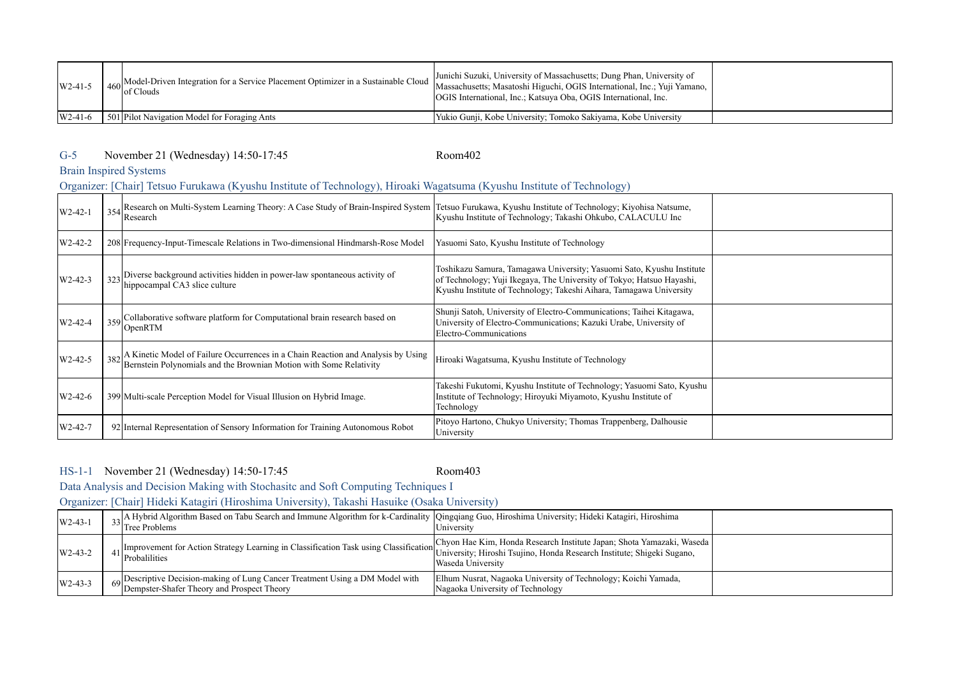| $W2-41-5$ | 460 Model-Driven Integration for a Service Placement Optimizer in a Sustainable Cloud Massachusetts; Municerity of Massachusetts; Dung Phan, University of detail of Clouds<br>Massachusetts; Massachusetts; Massachusetts; Massa | Junichi Suzuki, University of Massachusetts; Dung Phan, University of<br><b>OGIS</b> International, Inc.; Katsuva Oba, OGIS International, Inc. |  |
|-----------|-----------------------------------------------------------------------------------------------------------------------------------------------------------------------------------------------------------------------------------|-------------------------------------------------------------------------------------------------------------------------------------------------|--|
| $W2-41-6$ | 501 Pilot Navigation Model for Foraging Ants                                                                                                                                                                                      | Yukio Gunji, Kobe University, Tomoko Sakiyama, Kobe University                                                                                  |  |

# G-5 Room402 November 21 (Wednesday) 14:50-17:45

# Brain Inspired Systems

# Organizer: [Chair] Tetsuo Furukawa (Kyushu Institute of Technology), Hiroaki Wagatsuma (Kyushu Institute of Technology)

| W <sub>2</sub> -42-1 | 354 Research on Multi-System Learning Theory: A Case Study of Brain-Inspired System<br>Research                                                            | Tetsuo Furukawa, Kyushu Institute of Technology; Kiyohisa Natsume,<br>Kyushu Institute of Technology; Takashi Ohkubo, CALACULU Inc                                                                                    |  |
|----------------------|------------------------------------------------------------------------------------------------------------------------------------------------------------|-----------------------------------------------------------------------------------------------------------------------------------------------------------------------------------------------------------------------|--|
| W2-42-2              | 208 Frequency-Input-Timescale Relations in Two-dimensional Hindmarsh-Rose Model                                                                            | Yasuomi Sato, Kyushu Institute of Technology                                                                                                                                                                          |  |
| $W2-42-3$            | 323 Diverse background activities hidden in power-law spontaneous activity of<br>hippocampal CA3 slice culture                                             | Toshikazu Samura, Tamagawa University; Yasuomi Sato, Kyushu Institute<br>of Technology; Yuji Ikegaya, The University of Tokyo; Hatsuo Hayashi,<br>Kyushu Institute of Technology; Takeshi Aihara, Tamagawa University |  |
| W2-42-4              | 359 Collaborative software platform for Computational brain research based on<br>OpenRTM                                                                   | Shunji Satoh, University of Electro-Communications; Taihei Kitagawa,<br>University of Electro-Communications; Kazuki Urabe, University of<br>Electro-Communications                                                   |  |
| W <sub>2</sub> -42-5 | 382 A Kinetic Model of Failure Occurrences in a Chain Reaction and Analysis by Using<br>Bernstein Polynomials and the Brownian Motion with Some Relativity | Hiroaki Wagatsuma, Kyushu Institute of Technology                                                                                                                                                                     |  |
| $W2-42-6$            | 399 Multi-scale Perception Model for Visual Illusion on Hybrid Image.                                                                                      | Takeshi Fukutomi, Kyushu Institute of Technology; Yasuomi Sato, Kyushu<br>Institute of Technology; Hiroyuki Miyamoto, Kyushu Institute of<br>Technology                                                               |  |
| W2-42-7              | 92 Internal Representation of Sensory Information for Training Autonomous Robot                                                                            | Pitoyo Hartono, Chukyo University; Thomas Trappenberg, Dalhousie<br>University                                                                                                                                        |  |

### HS-1-1 Room403 November 21 (Wednesday) 14:50-17:45

Data Analysis and Decision Making with Stochasitc and Soft Computing Techniques I Organizer: [Chair] Hideki Katagiri (Hiroshima University), Takashi Hasuike (Osaka University)

| $W2-43-1$ | <sub>23</sub> A Hybrid Algorithm Based on Tabu Search and Immune Algorithm for k-Cardinality   Qingqiang Guo, Hiroshima University; Hideki Katagiri, Hiroshima<br><sup>13</sup> Tree Problems | University                                                                                                                                                           |  |
|-----------|-----------------------------------------------------------------------------------------------------------------------------------------------------------------------------------------------|----------------------------------------------------------------------------------------------------------------------------------------------------------------------|--|
| $W2-43-2$ | . Improvement for Action Strategy Learning in Classification Task using Classification<br>$41$ Probalilities                                                                                  | Chyon Hae Kim, Honda Research Institute Japan; Shota Yamazaki, Waseda<br>University; Hiroshi Tsujino, Honda Research Institute; Shigeki Sugano,<br>Waseda University |  |
| $W2-43-3$ | 69 Descriptive Decision-making of Lung Cancer Treatment Using a DM Model with<br>Dempster-Shafer Theory and Prospect Theory                                                                   | Elhum Nusrat, Nagaoka University of Technology; Koichi Yamada,<br>Nagaoka University of Technology                                                                   |  |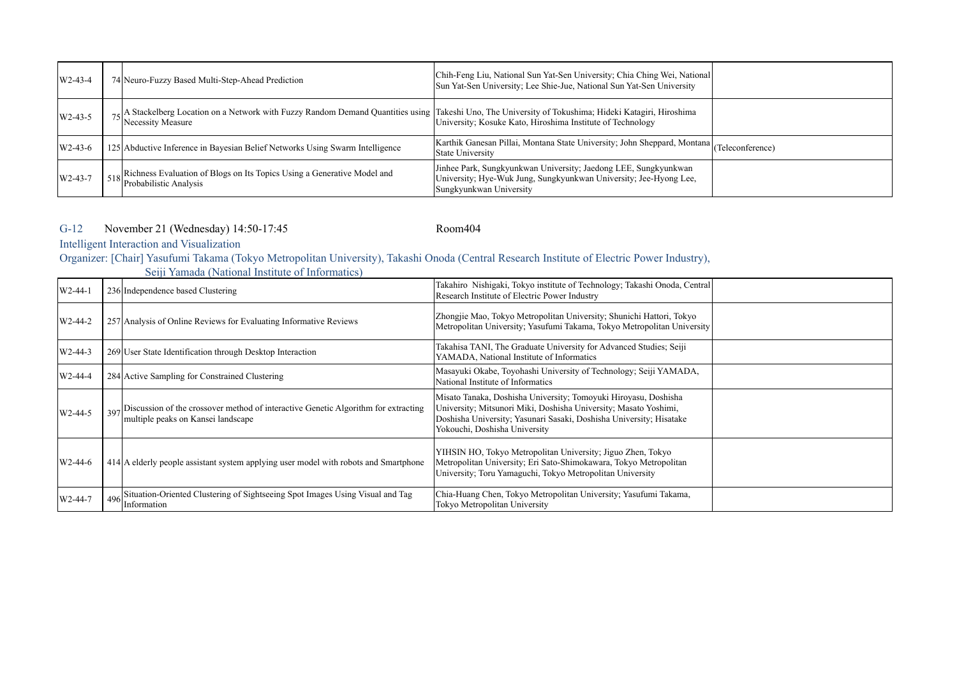| $W2-43-4$ | 74 Neuro-Fuzzy Based Multi-Step-Ahead Prediction                                                                                                                           | Chih-Feng Liu, National Sun Yat-Sen University; Chia Ching Wei, National<br>Sun Yat-Sen University; Lee Shie-Jue, National Sun Yat-Sen University               |  |
|-----------|----------------------------------------------------------------------------------------------------------------------------------------------------------------------------|-----------------------------------------------------------------------------------------------------------------------------------------------------------------|--|
| $W2-43-5$ | 75 A Stackelberg Location on a Network with Fuzzy Random Demand Quantities using Takeshi Uno, The University of Tokushima; Hideki Katagiri, Hiroshima<br>Necessity Measure | University; Kosuke Kato, Hiroshima Institute of Technology                                                                                                      |  |
| $W2-43-6$ | 125 Abductive Inference in Bayesian Belief Networks Using Swarm Intelligence                                                                                               | Karthik Ganesan Pillai, Montana State University; John Sheppard, Montana (Teleconference)<br><b>State University</b>                                            |  |
| $W2-43-7$ | $\frac{1}{518}$ Richness Evaluation of Blogs on Its Topics Using a Generative Model and<br>Probabilistic Analysis                                                          | Jinhee Park, Sungkyunkwan University; Jaedong LEE, Sungkyunkwan<br>University; Hye-Wuk Jung, Sungkyunkwan University; Jee-Hyong Lee,<br>Sungkyunkwan University |  |

G-12 Room404 November 21 (Wednesday) 14:50-17:45

Intelligent Interaction and Visualization

Organizer: [Chair] Yasufumi Takama (Tokyo Metropolitan University), Takashi Onoda (Central Research Institute of Electric Power Industry),

|                      | $\mathcal{O}$                                                                                                                |                                                                                                                                                                                                                                             |  |
|----------------------|------------------------------------------------------------------------------------------------------------------------------|---------------------------------------------------------------------------------------------------------------------------------------------------------------------------------------------------------------------------------------------|--|
| W <sub>2</sub> -44-1 | 236 Independence based Clustering                                                                                            | Takahiro Nishigaki, Tokyo institute of Technology; Takashi Onoda, Central<br>Research Institute of Electric Power Industry                                                                                                                  |  |
| $W2-44-2$            | 257 Analysis of Online Reviews for Evaluating Informative Reviews                                                            | Zhongjie Mao, Tokyo Metropolitan University; Shunichi Hattori, Tokyo<br>Metropolitan University; Yasufumi Takama, Tokyo Metropolitan University                                                                                             |  |
| W2-44-3              | 269 User State Identification through Desktop Interaction                                                                    | Takahisa TANI, The Graduate University for Advanced Studies; Seiji<br>YAMADA, National Institute of Informatics                                                                                                                             |  |
| W2-44-4              | 284 Active Sampling for Constrained Clustering                                                                               | Masayuki Okabe, Toyohashi University of Technology; Seiji YAMADA,<br>National Institute of Informatics                                                                                                                                      |  |
| W2-44-5              | 397 Discussion of the crossover method of interactive Genetic Algorithm for extracting<br>multiple peaks on Kansei landscape | Misato Tanaka, Doshisha University; Tomoyuki Hiroyasu, Doshisha<br>University, Mitsunori Miki, Doshisha University, Masato Yoshimi,<br>Doshisha University; Yasunari Sasaki, Doshisha University; Hisatake<br>Yokouchi, Doshisha University |  |
| $W2-44-6$            | 414 A elderly people assistant system applying user model with robots and Smartphone                                         | YIHSIN HO, Tokyo Metropolitan University; Jiguo Zhen, Tokyo<br>Metropolitan University; Eri Sato-Shimokawara, Tokyo Metropolitan<br>University; Toru Yamaguchi, Tokyo Metropolitan University                                               |  |
| W2-44-7              | Situation-Oriented Clustering of Sightseeing Spot Images Using Visual and Tag<br>496<br>Information                          | Chia-Huang Chen, Tokyo Metropolitan University; Yasufumi Takama,<br>Tokyo Metropolitan University                                                                                                                                           |  |

Seiji Yamada (National Institute of Informatics)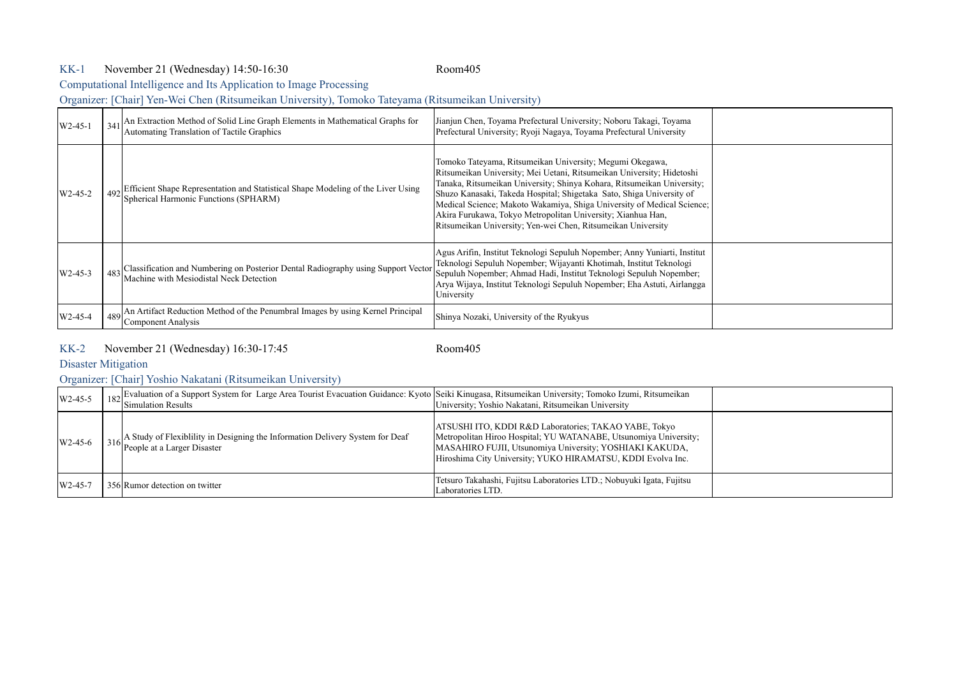### KK-1 Room405 November 21 (Wednesday) 14:50-16:30

Computational Intelligence and Its Application to Image Processing

Organizer: [Chair] Yen-Wei Chen (Ritsumeikan University), Tomoko Tateyama (Ritsumeikan University)

| $W2-45-1$ | 341 An Extraction Method of Solid Line Graph Elements in Mathematical Graphs for<br>Automating Translation of Tactile Graphics   | Jianjun Chen, Toyama Prefectural University; Noboru Takagi, Toyama<br>Prefectural University; Ryoji Nagaya, Toyama Prefectural University                                                                                                                                                                                                                                                                                                                                                    |  |
|-----------|----------------------------------------------------------------------------------------------------------------------------------|----------------------------------------------------------------------------------------------------------------------------------------------------------------------------------------------------------------------------------------------------------------------------------------------------------------------------------------------------------------------------------------------------------------------------------------------------------------------------------------------|--|
| $W2-45-2$ | 492 Efficient Shape Representation and Statistical Shape Modeling of the Liver Using<br>Spherical Harmonic Functions (SPHARM)    | Tomoko Tateyama, Ritsumeikan University; Megumi Okegawa,<br>Ritsumeikan University; Mei Uetani, Ritsumeikan University; Hidetoshi<br>Tanaka, Ritsumeikan University; Shinya Kohara, Ritsumeikan University;<br>Shuzo Kanasaki, Takeda Hospital; Shigetaka Sato, Shiga University of<br>Medical Science; Makoto Wakamiya, Shiga University of Medical Science;<br>Akira Furukawa, Tokyo Metropolitan University; Xianhua Han,<br>Ritsumeikan University; Yen-wei Chen, Ritsumeikan University |  |
| $W2-45-3$ | 483 Classification and Numbering on Posterior Dental Radiography using Support Vector<br>Machine with Mesiodistal Neck Detection | Agus Arifin, Institut Teknologi Sepuluh Nopember; Anny Yuniarti, Institut<br>Teknologi Sepuluh Nopember; Wijayanti Khotimah, Institut Teknologi<br>Sepuluh Nopember; Ahmad Hadi, Institut Teknologi Sepuluh Nopember;<br>Arya Wijaya, Institut Teknologi Sepuluh Nopember; Eha Astuti, Airlangga<br>University                                                                                                                                                                               |  |
| W2-45-4   | $489$ An Artifact Reduction Method of the Penumbral Images by using Kernel Principal<br>Component Analysis                       | Shinya Nozaki, University of the Ryukyus                                                                                                                                                                                                                                                                                                                                                                                                                                                     |  |

### KK-2 Room405 November 21 (Wednesday) 16:30-17:45

Disaster Mitigation

# Organizer: [Chair] Yoshio Nakatani (Ritsumeikan University)

| $W2-45-5$ | <sup>1</sup> 182 Evaluation of a Support System for Large Area Tourist Evacuation Guidance: Kyoto Seiki Kinugasa, Ritsumeikan University; Tomoko Izumi, Ritsumeikan 182 Simulation Results |                                                                                                                                                                                                                                                     |  |
|-----------|--------------------------------------------------------------------------------------------------------------------------------------------------------------------------------------------|-----------------------------------------------------------------------------------------------------------------------------------------------------------------------------------------------------------------------------------------------------|--|
| $W2-45-6$ | 316 A Study of Flexibility in Designing the Information Delivery System for Deaf<br>People at a Larger Disaster                                                                            | ATSUSHI ITO, KDDI R&D Laboratories; TAKAO YABE, Tokyo<br>Metropolitan Hiroo Hospital; YU WATANABE, Utsunomiya University;<br>MASAHIRO FUJII, Utsunomiya University; YOSHIAKI KAKUDA,<br>Hiroshima City University; YUKO HIRAMATSU, KDDI Evolva Inc. |  |
| $W2-45-7$ | 356 Rumor detection on twitter                                                                                                                                                             | Tetsuro Takahashi, Fujitsu Laboratories LTD.; Nobuyuki Igata, Fujitsu<br>Laboratories LTD.                                                                                                                                                          |  |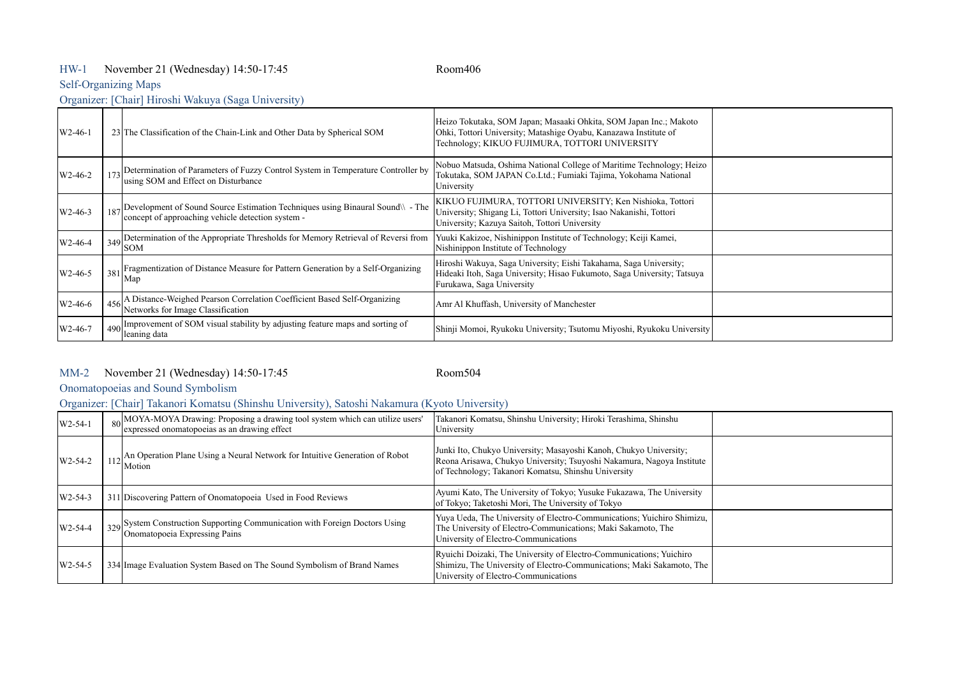## HW-1 Room406 November 21 (Wednesday) 14:50-17:45

# Self-Organizing Maps

Organizer: [Chair] Hiroshi Wakuya (Saga University)

| $W2-46-1$            | 23 The Classification of the Chain-Link and Other Data by Spherical SOM                                                                  | Heizo Tokutaka, SOM Japan; Masaaki Ohkita, SOM Japan Inc.; Makoto<br>Ohki, Tottori University; Matashige Oyabu, Kanazawa Institute of<br>Technology; KIKUO FUJIMURA, TOTTORI UNIVERSITY |  |
|----------------------|------------------------------------------------------------------------------------------------------------------------------------------|-----------------------------------------------------------------------------------------------------------------------------------------------------------------------------------------|--|
| W <sub>2</sub> -46-2 | 173 Determination of Parameters of Fuzzy Control System in Temperature Controller by<br>using SOM and Effect on Disturbance              | Nobuo Matsuda, Oshima National College of Maritime Technology; Heizo<br>Tokutaka, SOM JAPAN Co.Ltd.; Fumiaki Tajima, Yokohama National<br>University                                    |  |
| $W2-46-3$            | 187 Development of Sound Source Estimation Techniques using Binaural Sound \\ - The<br>concept of approaching vehicle detection system - | KIKUO FUJIMURA, TOTTORI UNIVERSITY, Ken Nishioka, Tottori<br>University; Shigang Li, Tottori University; Isao Nakanishi, Tottori<br>University; Kazuya Saitoh, Tottori University       |  |
| W <sub>2</sub> -46-4 | 349 Determination of the Appropriate Thresholds for Memory Retrieval of Reversi from<br><b>SOM</b>                                       | Yuuki Kakizoe, Nishinippon Institute of Technology; Keiji Kamei,<br>Nishinippon Institute of Technology                                                                                 |  |
| $W2-46-5$            | 381 Fragmentization of Distance Measure for Pattern Generation by a Self-Organizing<br>Map                                               | Hiroshi Wakuya, Saga University; Eishi Takahama, Saga University;<br>Hideaki Itoh, Saga University; Hisao Fukumoto, Saga University; Tatsuya<br>Furukawa, Saga University               |  |
| W2-46-6              | A Distance-Weighed Pearson Correlation Coefficient Based Self-Organizing<br>Networks for Image Classification                            | Amr Al Khuffash, University of Manchester                                                                                                                                               |  |
| W <sub>2</sub> -46-7 | 490 Improvement of SOM visual stability by adjusting feature maps and sorting of<br>leaning data                                         | Shinji Momoi, Ryukoku University; Tsutomu Miyoshi, Ryukoku University                                                                                                                   |  |

### MM-2 Room504 November 21 (Wednesday) 14:50-17:45

Onomatopoeias and Sound Symbolism

Organizer: [Chair] Takanori Komatsu (Shinshu University), Satoshi Nakamura (Kyoto University)

| $W2-54-1$ | 80 MOYA-MOYA Drawing: Proposing a drawing tool system which can utilize users'<br>expressed onomatopoeias as an drawing effect | Takanori Komatsu, Shinshu University; Hiroki Terashima, Shinshu<br>University                                                                                                                     |  |
|-----------|--------------------------------------------------------------------------------------------------------------------------------|---------------------------------------------------------------------------------------------------------------------------------------------------------------------------------------------------|--|
| $W2-54-2$ | 112 An Operation Plane Using a Neural Network for Intuitive Generation of Robot<br>Motion                                      | Junki Ito, Chukyo University; Masayoshi Kanoh, Chukyo University;<br>Reona Arisawa, Chukyo University; Tsuyoshi Nakamura, Nagoya Institute<br>of Technology; Takanori Komatsu, Shinshu University |  |
| $W2-54-3$ | 311 Discovering Pattern of Onomatopoeia Used in Food Reviews                                                                   | Ayumi Kato, The University of Tokyo; Yusuke Fukazawa, The University<br>of Tokyo; Taketoshi Mori, The University of Tokyo                                                                         |  |
| $W2-54-4$ | 329 System Construction Supporting Communication with Foreign Doctors Using<br>Onomatopoeia Expressing Pains                   | Yuya Ueda, The University of Electro-Communications; Yuichiro Shimizu,<br>The University of Electro-Communications; Maki Sakamoto, The<br>University of Electro-Communications                    |  |
| $W2-54-5$ | 334 Image Evaluation System Based on The Sound Symbolism of Brand Names                                                        | Ryuichi Doizaki, The University of Electro-Communications; Yuichiro<br>Shimizu, The University of Electro-Communications; Maki Sakamoto, The<br>University of Electro-Communications              |  |